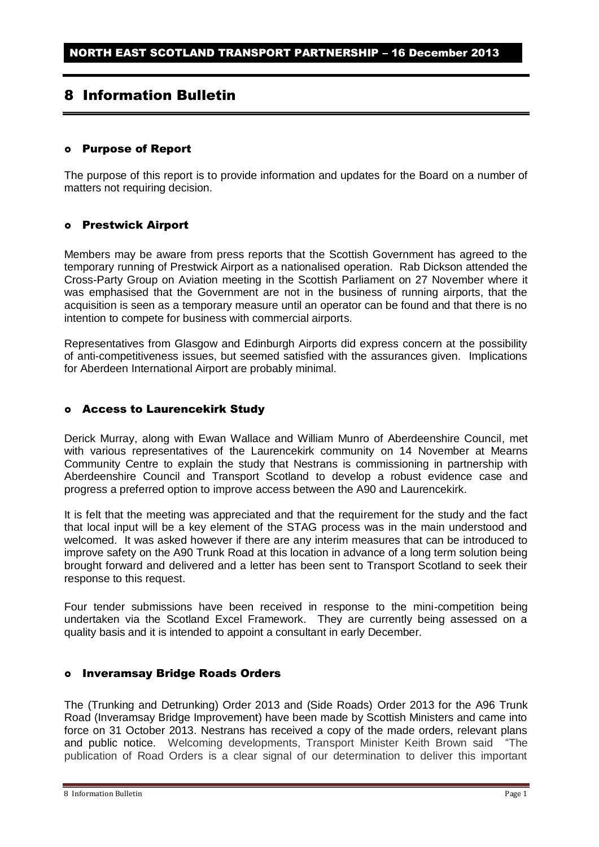# 8 Information Bulletin

# Purpose of Report

The purpose of this report is to provide information and updates for the Board on a number of matters not requiring decision.

### o Prestwick Airport

Members may be aware from press reports that the Scottish Government has agreed to the temporary running of Prestwick Airport as a nationalised operation. Rab Dickson attended the Cross-Party Group on Aviation meeting in the Scottish Parliament on 27 November where it was emphasised that the Government are not in the business of running airports, that the acquisition is seen as a temporary measure until an operator can be found and that there is no intention to compete for business with commercial airports.

Representatives from Glasgow and Edinburgh Airports did express concern at the possibility of anti-competitiveness issues, but seemed satisfied with the assurances given. Implications for Aberdeen International Airport are probably minimal.

# Access to Laurencekirk Study

Derick Murray, along with Ewan Wallace and William Munro of Aberdeenshire Council, met with various representatives of the Laurencekirk community on 14 November at Mearns Community Centre to explain the study that Nestrans is commissioning in partnership with Aberdeenshire Council and Transport Scotland to develop a robust evidence case and progress a preferred option to improve access between the A90 and Laurencekirk.

It is felt that the meeting was appreciated and that the requirement for the study and the fact that local input will be a key element of the STAG process was in the main understood and welcomed. It was asked however if there are any interim measures that can be introduced to improve safety on the A90 Trunk Road at this location in advance of a long term solution being brought forward and delivered and a letter has been sent to Transport Scotland to seek their response to this request.

Four tender submissions have been received in response to the mini-competition being undertaken via the Scotland Excel Framework. They are currently being assessed on a quality basis and it is intended to appoint a consultant in early December.

# o Inveramsay Bridge Roads Orders

The (Trunking and Detrunking) Order 2013 and (Side Roads) Order 2013 for the A96 Trunk Road (Inveramsay Bridge Improvement) have been made by Scottish Ministers and came into force on 31 October 2013. Nestrans has received a copy of the made orders, relevant plans and public notice. Welcoming developments, Transport Minister Keith Brown said "The publication of Road Orders is a clear signal of our determination to deliver this important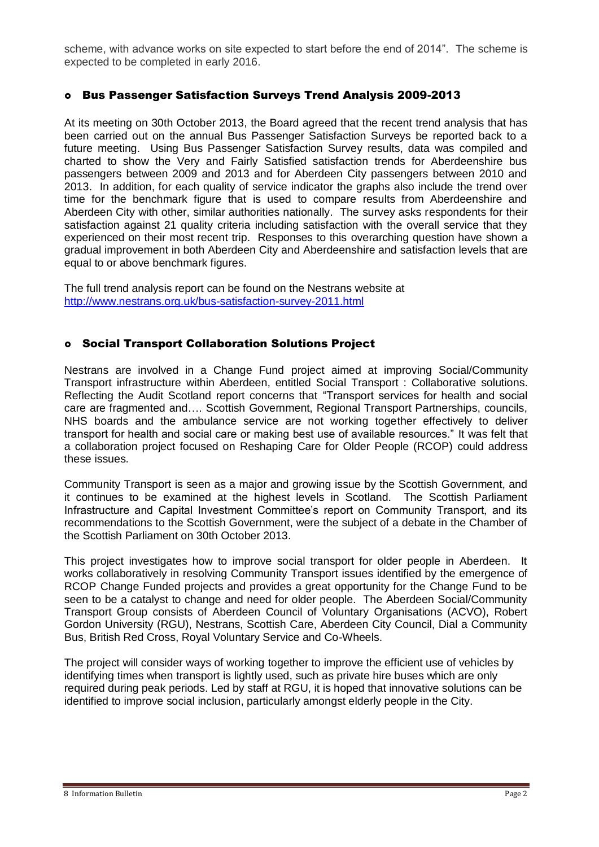scheme, with advance works on site expected to start before the end of 2014". The scheme is expected to be completed in early 2016.

# Bus Passenger Satisfaction Surveys Trend Analysis 2009-2013

At its meeting on 30th October 2013, the Board agreed that the recent trend analysis that has been carried out on the annual Bus Passenger Satisfaction Surveys be reported back to a future meeting. Using Bus Passenger Satisfaction Survey results, data was compiled and charted to show the Very and Fairly Satisfied satisfaction trends for Aberdeenshire bus passengers between 2009 and 2013 and for Aberdeen City passengers between 2010 and 2013. In addition, for each quality of service indicator the graphs also include the trend over time for the benchmark figure that is used to compare results from Aberdeenshire and Aberdeen City with other, similar authorities nationally. The survey asks respondents for their satisfaction against 21 quality criteria including satisfaction with the overall service that they experienced on their most recent trip. Responses to this overarching question have shown a gradual improvement in both Aberdeen City and Aberdeenshire and satisfaction levels that are equal to or above benchmark figures.

The full trend analysis report can be found on the Nestrans website at <http://www.nestrans.org.uk/bus-satisfaction-survey-2011.html>

# Social Transport Collaboration Solutions Project

Nestrans are involved in a Change Fund project aimed at improving Social/Community Transport infrastructure within Aberdeen, entitled Social Transport : Collaborative solutions. Reflecting the Audit Scotland report concerns that "Transport services for health and social care are fragmented and…. Scottish Government, Regional Transport Partnerships, councils, NHS boards and the ambulance service are not working together effectively to deliver transport for health and social care or making best use of available resources." It was felt that a collaboration project focused on Reshaping Care for Older People (RCOP) could address these issues.

Community Transport is seen as a major and growing issue by the Scottish Government, and it continues to be examined at the highest levels in Scotland. The Scottish Parliament Infrastructure and Capital Investment Committee's report on Community Transport, and its recommendations to the Scottish Government, were the subject of a debate in the Chamber of the Scottish Parliament on 30th October 2013.

This project investigates how to improve social transport for older people in Aberdeen. It works collaboratively in resolving Community Transport issues identified by the emergence of RCOP Change Funded projects and provides a great opportunity for the Change Fund to be seen to be a catalyst to change and need for older people. The Aberdeen Social/Community Transport Group consists of Aberdeen Council of Voluntary Organisations (ACVO), Robert Gordon University (RGU), Nestrans, Scottish Care, Aberdeen City Council, Dial a Community Bus, British Red Cross, Royal Voluntary Service and Co-Wheels.

The project will consider ways of working together to improve the efficient use of vehicles by identifying times when transport is lightly used, such as private hire buses which are only required during peak periods. Led by staff at RGU, it is hoped that innovative solutions can be identified to improve social inclusion, particularly amongst elderly people in the City.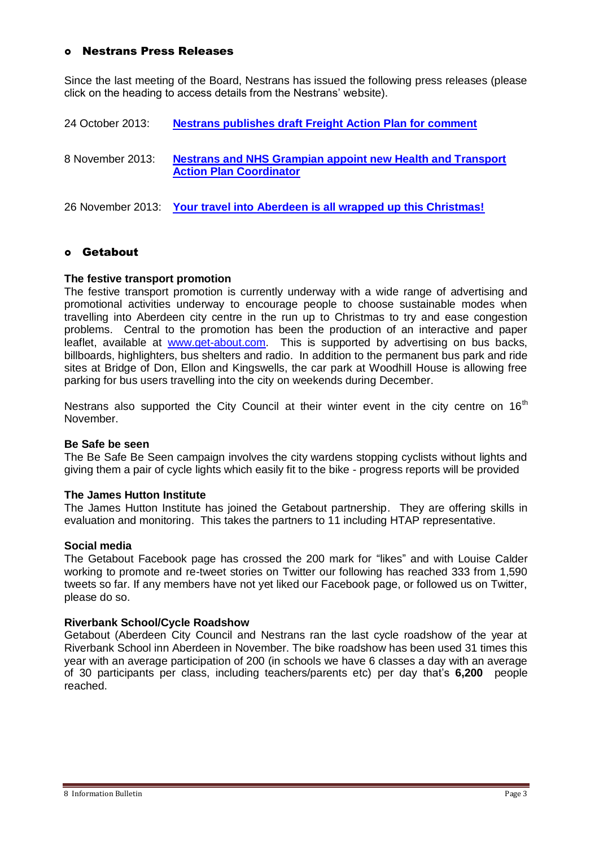### Nestrans Press Releases

Since the last meeting of the Board, Nestrans has issued the following press releases (please click on the heading to access details from the Nestrans' website).

24 October 2013: **[Nestrans publishes draft Freight Action Plan for comment](http://www.nestrans.org.uk/394/news.html)**

8 November 2013: **[Nestrans and NHS Grampian appoint new Health and Transport](http://www.nestrans.org.uk/395/news.html)  [Action Plan Coordinator](http://www.nestrans.org.uk/395/news.html)**

26 November 2013: **[Your travel into Aberdeen is all wrapped up this Christmas!](http://www.nestrans.org.uk/396/news.html)**

# Getabout

#### **The festive transport promotion**

The festive transport promotion is currently underway with a wide range of advertising and promotional activities underway to encourage people to choose sustainable modes when travelling into Aberdeen city centre in the run up to Christmas to try and ease congestion problems. Central to the promotion has been the production of an interactive and paper leaflet, available at [www.get-about.com.](http://www.get-about.com/) This is supported by advertising on bus backs, billboards, highlighters, bus shelters and radio. In addition to the permanent bus park and ride sites at Bridge of Don, Ellon and Kingswells, the car park at Woodhill House is allowing free parking for bus users travelling into the city on weekends during December.

Nestrans also supported the City Council at their winter event in the city centre on  $16<sup>th</sup>$ November.

#### **Be Safe be seen**

The Be Safe Be Seen campaign involves the city wardens stopping cyclists without lights and giving them a pair of cycle lights which easily fit to the bike - progress reports will be provided

#### **The James Hutton Institute**

The James Hutton Institute has joined the Getabout partnership. They are offering skills in evaluation and monitoring. This takes the partners to 11 including HTAP representative.

#### **Social media**

The Getabout Facebook page has crossed the 200 mark for "likes" and with Louise Calder working to promote and re-tweet stories on Twitter our following has reached 333 from 1,590 tweets so far. If any members have not yet liked our Facebook page, or followed us on Twitter, please do so.

#### **Riverbank School/Cycle Roadshow**

Getabout (Aberdeen City Council and Nestrans ran the last cycle roadshow of the year at Riverbank School inn Aberdeen in November. The bike roadshow has been used 31 times this year with an average participation of 200 (in schools we have 6 classes a day with an average of 30 participants per class, including teachers/parents etc) per day that's **6,200** people reached.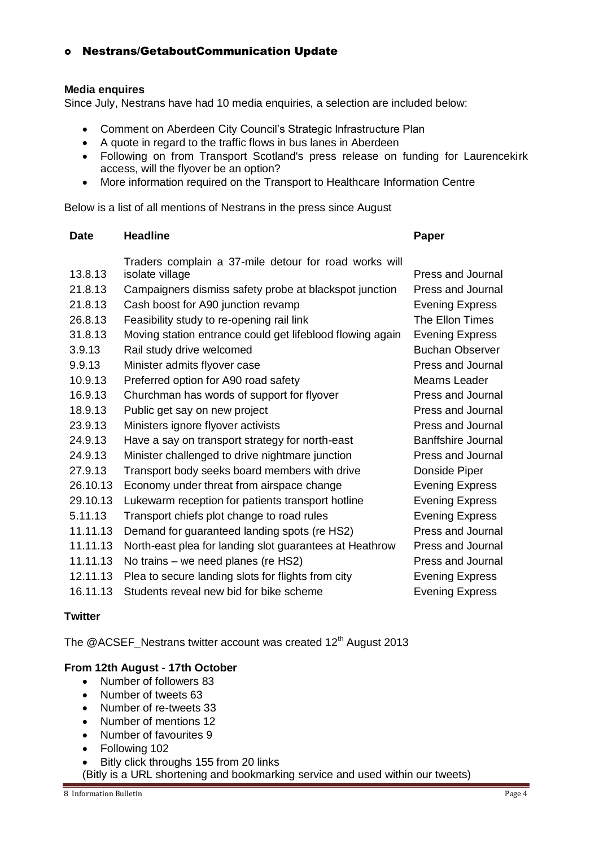# Nestrans/GetaboutCommunication Update

# **Media enquires**

Since July, Nestrans have had 10 media enquiries, a selection are included below:

- Comment on Aberdeen City Council's Strategic Infrastructure Plan
- A quote in regard to the traffic flows in bus lanes in Aberdeen
- Following on from Transport Scotland's press release on funding for Laurencekirk access, will the flyover be an option?
- More information required on the Transport to Healthcare Information Centre

Below is a list of all mentions of Nestrans in the press since August

| <b>Date</b>    | <b>Headline</b>                                           | Paper                     |
|----------------|-----------------------------------------------------------|---------------------------|
|                | Traders complain a 37-mile detour for road works will     |                           |
| 13.8.13        | isolate village                                           | <b>Press and Journal</b>  |
| 21.8.13        | Campaigners dismiss safety probe at blackspot junction    | <b>Press and Journal</b>  |
| 21.8.13        | Cash boost for A90 junction revamp                        | <b>Evening Express</b>    |
| 26.8.13        | Feasibility study to re-opening rail link                 | The Ellon Times           |
| 31.8.13        | Moving station entrance could get lifeblood flowing again | <b>Evening Express</b>    |
| 3.9.13         | Rail study drive welcomed                                 | <b>Buchan Observer</b>    |
| 9.9.13         | Minister admits flyover case                              | <b>Press and Journal</b>  |
| 10.9.13        | Preferred option for A90 road safety                      | Mearns Leader             |
| 16.9.13        | Churchman has words of support for flyover                | <b>Press and Journal</b>  |
| 18.9.13        | Public get say on new project                             | <b>Press and Journal</b>  |
| 23.9.13        | Ministers ignore flyover activists                        | Press and Journal         |
| 24.9.13        | Have a say on transport strategy for north-east           | <b>Banffshire Journal</b> |
| 24.9.13        | Minister challenged to drive nightmare junction           | <b>Press and Journal</b>  |
| 27.9.13        | Transport body seeks board members with drive             | Donside Piper             |
| 26.10.13       | Economy under threat from airspace change                 | <b>Evening Express</b>    |
| 29.10.13       | Lukewarm reception for patients transport hotline         | <b>Evening Express</b>    |
| 5.11.13        | Transport chiefs plot change to road rules                | <b>Evening Express</b>    |
| 11.11.13       | Demand for guaranteed landing spots (re HS2)              | <b>Press and Journal</b>  |
| 11.11.13       | North-east plea for landing slot guarantees at Heathrow   | <b>Press and Journal</b>  |
| 11.11.13       | No trains – we need planes (re HS2)                       | <b>Press and Journal</b>  |
| 12.11.13       | Plea to secure landing slots for flights from city        | <b>Evening Express</b>    |
| 16.11.13       | Students reveal new bid for bike scheme                   | <b>Evening Express</b>    |
| <b>Twitter</b> |                                                           |                           |

The @ACSEF\_Nestrans twitter account was created 12<sup>th</sup> August 2013

# **From 12th August - 17th October**

- Number of followers 83
- Number of tweets 63
- Number of re-tweets 33
- Number of mentions 12
- Number of favourites 9
- Following 102
- Bitly click throughs 155 from 20 links
- (Bitly is a URL shortening and bookmarking service and used within our tweets)